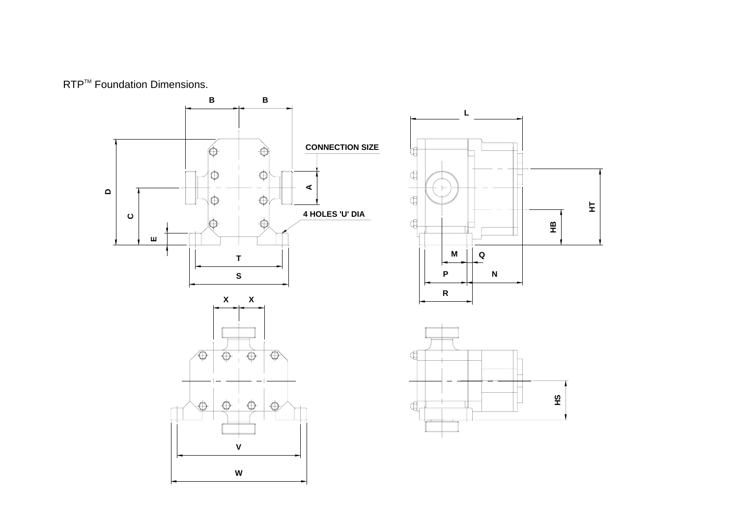